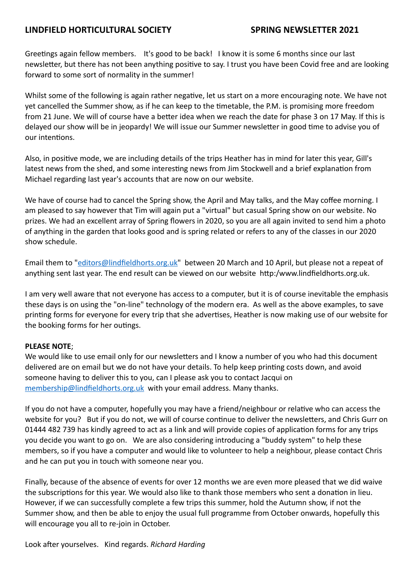# **LINDFIELD HORTICULTURAL SOCIETY SPRING NEWSLETTER 2021**

Greetings again fellow members. It's good to be back! I know it is some 6 months since our last newsletter, but there has not been anything positive to say. I trust you have been Covid free and are looking forward to some sort of normality in the summer!

Whilst some of the following is again rather negative, let us start on a more encouraging note. We have not yet cancelled the Summer show, as if he can keep to the timetable, the P.M. is promising more freedom from 21 June. We will of course have a better idea when we reach the date for phase 3 on 17 May. If this is delayed our show will be in jeopardy! We will issue our Summer newsletter in good time to advise you of our intentions.

Also, in positive mode, we are including details of the trips Heather has in mind for later this year, Gill's latest news from the shed, and some interesting news from Jim Stockwell and a brief explanation from Michael regarding last year's accounts that are now on our website.

We have of course had to cancel the Spring show, the April and May talks, and the May coffee morning. I am pleased to say however that Tim will again put a "virtual" but casual Spring show on our website. No prizes. We had an excellent array of Spring flowers in 2020, so you are all again invited to send him a photo of anything in the garden that looks good and is spring related or refers to any of the classes in our 2020 show schedule.

Email them to "[editors@lindfieldhorts.org.uk](mailto:editors@lindfieldhorts.org.uk)" between 20 March and 10 April, but please not a repeat of anything sent last year. The end result can be viewed on our website http:/www.lindfieldhorts.org.uk.

I am very well aware that not everyone has access to a computer, but it is of course inevitable the emphasis these days is on using the "on-line" technology of the modern era. As well as the above examples, to save printing forms for everyone for every trip that she advertises, Heather is now making use of our website for the booking forms for her outings.

# **PLEASE NOTE**;

We would like to use email only for our newsletters and I know a number of you who had this document delivered are on email but we do not have your details. To help keep printing costs down, and avoid someone having to deliver this to you, can I please ask you to contact Jacqui on [membership@lindfieldhorts.org.uk](mailto:membership@lindfieldhorts.org.uk) with your email address. Many thanks.

If you do not have a computer, hopefully you may have a friend/neighbour or relative who can access the website for you? But if you do not, we will of course continue to deliver the newsletters, and Chris Gurr on 01444 482 739 has kindly agreed to act as a link and will provide copies of application forms for any trips you decide you want to go on. We are also considering introducing a "buddy system" to help these members, so if you have a computer and would like to volunteer to help a neighbour, please contact Chris and he can put you in touch with someone near you.

Finally, because of the absence of events for over 12 months we are even more pleased that we did waive the subscriptions for this year. We would also like to thank those members who sent a donation in lieu. However, if we can successfully complete a few trips this summer, hold the Autumn show, if not the Summer show, and then be able to enjoy the usual full programme from October onwards, hopefully this will encourage you all to re-join in October.

Look after yourselves. Kind regards. *Richard Harding*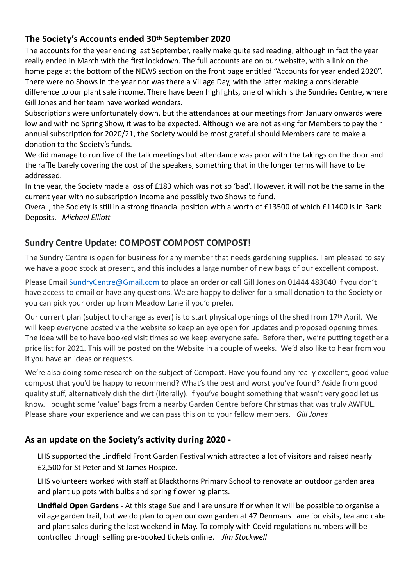# **The Society's Accounts ended 30th September 2020**

The accounts for the year ending last September, really make quite sad reading, although in fact the year really ended in March with the first lockdown. The full accounts are on our website, with a link on the home page at the bottom of the NEWS section on the front page entitled "Accounts for year ended 2020". There were no Shows in the year nor was there a Village Day, with the latter making a considerable difference to our plant sale income. There have been highlights, one of which is the Sundries Centre, where Gill Jones and her team have worked wonders.

Subscriptions were unfortunately down, but the attendances at our meetings from January onwards were low and with no Spring Show, it was to be expected. Although we are not asking for Members to pay their annual subscription for 2020/21, the Society would be most grateful should Members care to make a donation to the Society's funds.

We did manage to run five of the talk meetings but attendance was poor with the takings on the door and the raffle barely covering the cost of the speakers, something that in the longer terms will have to be addressed.

In the year, the Society made a loss of £183 which was not so 'bad'. However, it will not be the same in the current year with no subscription income and possibly two Shows to fund.

Overall, the Society is still in a strong financial position with a worth of £13500 of which £11400 is in Bank Deposits. *Michael Elliott*

# **Sundry Centre Update: COMPOST COMPOST COMPOST!**

The Sundry Centre is open for business for any member that needs gardening supplies. I am pleased to say we have a good stock at present, and this includes a large number of new bags of our excellent compost.

Please Email [SundryCentre@Gmail.com](mailto:SundryCentre@Gmail.com) to place an order or call Gill Jones on 01444 483040 if you don't have access to email or have any questions. We are happy to deliver for a small donation to the Society or you can pick your order up from Meadow Lane if you'd prefer.

Our current plan (subject to change as ever) is to start physical openings of the shed from 17th April. We will keep everyone posted via the website so keep an eye open for updates and proposed opening times. The idea will be to have booked visit times so we keep everyone safe. Before then, we're putting together a price list for 2021. This will be posted on the Website in a couple of weeks. We'd also like to hear from you if you have an ideas or requests.

We're also doing some research on the subject of Compost. Have you found any really excellent, good value compost that you'd be happy to recommend? What's the best and worst you've found? Aside from good quality stuff, alternatively dish the dirt (literally). If you've bought something that wasn't very good let us know. I bought some 'value' bags from a nearby Garden Centre before Christmas that was truly AWFUL. Please share your experience and we can pass this on to your fellow members. *Gill Jones*

# **As an update on the Society's activity during 2020 -**

LHS supported the Lindfield Front Garden Festival which attracted a lot of visitors and raised nearly £2,500 for St Peter and St James Hospice.

LHS volunteers worked with staff at Blackthorns Primary School to renovate an outdoor garden area and plant up pots with bulbs and spring flowering plants.

**Lindfield Open Gardens -** At this stage Sue and l are unsure if or when it will be possible to organise a village garden trail, but we do plan to open our own garden at 47 Denmans Lane for visits, tea and cake and plant sales during the last weekend in May. To comply with Covid regulations numbers will be controlled through selling pre-booked tickets online. *Jim Stockwell*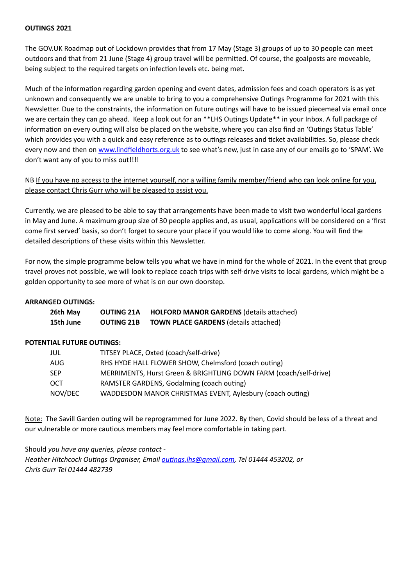## **OUTINGS 2021**

The GOV.UK Roadmap out of Lockdown provides that from 17 May (Stage 3) groups of up to 30 people can meet outdoors and that from 21 June (Stage 4) group travel will be permitted. Of course, the goalposts are moveable, being subject to the required targets on infection levels etc. being met.

Much of the information regarding garden opening and event dates, admission fees and coach operators is as yet unknown and consequently we are unable to bring to you a comprehensive Outings Programme for 2021 with this Newsletter. Due to the constraints, the information on future outings will have to be issued piecemeal via email once we are certain they can go ahead. Keep a look out for an \*\*LHS Outings Update\*\* in your Inbox. A full package of information on every outing will also be placed on the website, where you can also find an 'Outings Status Table' which provides you with a quick and easy reference as to outings releases and ticket availabilities. So, please check every now and then on [www.lindfieldhorts.org.uk](http://www.lindfieldhorts.org.uk) to see what's new, just in case any of our emails go to 'SPAM'. We don't want any of you to miss out!!!!

NB If you have no access to the internet yourself, nor a willing family member/friend who can look online for you, please contact Chris Gurr who will be pleased to assist you.

Currently, we are pleased to be able to say that arrangements have been made to visit two wonderful local gardens in May and June. A maximum group size of 30 people applies and, as usual, applications will be considered on a 'first come first served' basis, so don't forget to secure your place if you would like to come along. You will find the detailed descriptions of these visits within this Newsletter.

For now, the simple programme below tells you what we have in mind for the whole of 2021. In the event that group travel proves not possible, we will look to replace coach trips with self-drive visits to local gardens, which might be a golden opportunity to see more of what is on our own doorstep.

## **ARRANGED OUTINGS:**

| 26th May  | <b>OUTING 21A</b> | <b>HOLFORD MANOR GARDENS (details attached)</b> |
|-----------|-------------------|-------------------------------------------------|
| 15th June | <b>OUTING 21B</b> | <b>TOWN PLACE GARDENS (details attached)</b>    |

# **POTENTIAL FUTURE OUTINGS:**

| JUL     | TITSEY PLACE, Oxted (coach/self-drive)                            |
|---------|-------------------------------------------------------------------|
| AUG     | RHS HYDE HALL FLOWER SHOW, Chelmsford (coach outing)              |
| SEP     | MERRIMENTS, Hurst Green & BRIGHTLING DOWN FARM (coach/self-drive) |
| ОСТ     | RAMSTER GARDENS, Godalming (coach outing)                         |
| NOV/DEC | WADDESDON MANOR CHRISTMAS EVENT, Aylesbury (coach outing)         |

Note: The Savill Garden outing will be reprogrammed for June 2022. By then, Covid should be less of a threat and our vulnerable or more cautious members may feel more comfortable in taking part.

Should *you have any queries, please contact - Heather Hitchcock Outings Organiser, Email [outings.lhs@gmail.com](mailto:outings.lhs@gmail.com), Tel 01444 453202, or Chris Gurr Tel 01444 482739*